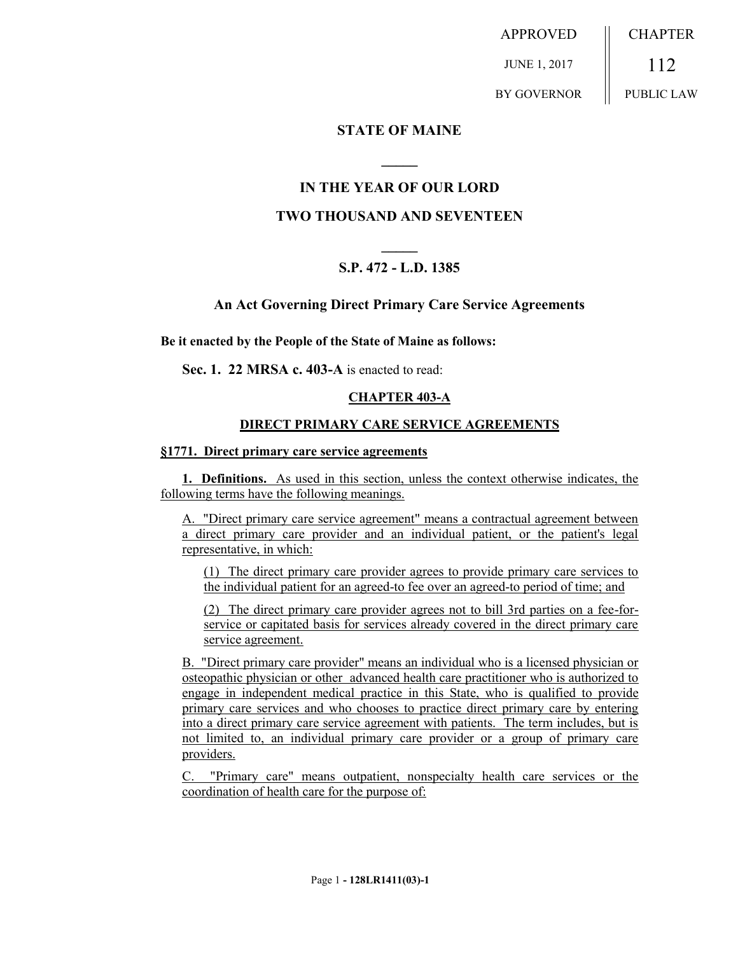APPROVED JUNE 1, 2017 BY GOVERNOR **CHAPTER** 112 PUBLIC LAW

## **STATE OF MAINE**

# **IN THE YEAR OF OUR LORD**

**\_\_\_\_\_**

# **TWO THOUSAND AND SEVENTEEN**

# **\_\_\_\_\_ S.P. 472 - L.D. 1385**

### **An Act Governing Direct Primary Care Service Agreements**

**Be it enacted by the People of the State of Maine as follows:**

**Sec. 1. 22 MRSA c. 403-A** is enacted to read:

### **CHAPTER 403-A**

#### **DIRECT PRIMARY CARE SERVICE AGREEMENTS**

#### **§1771. Direct primary care service agreements**

**1. Definitions.** As used in this section, unless the context otherwise indicates, the following terms have the following meanings.

A. "Direct primary care service agreement" means a contractual agreement between a direct primary care provider and an individual patient, or the patient's legal representative, in which:

(1) The direct primary care provider agrees to provide primary care services to the individual patient for an agreed-to fee over an agreed-to period of time; and

(2) The direct primary care provider agrees not to bill 3rd parties on a fee-forservice or capitated basis for services already covered in the direct primary care service agreement.

B. "Direct primary care provider" means an individual who is a licensed physician or osteopathic physician or other advanced health care practitioner who is authorized to engage in independent medical practice in this State, who is qualified to provide primary care services and who chooses to practice direct primary care by entering into a direct primary care service agreement with patients. The term includes, but is not limited to, an individual primary care provider or a group of primary care providers.

C. "Primary care" means outpatient, nonspecialty health care services or the coordination of health care for the purpose of: